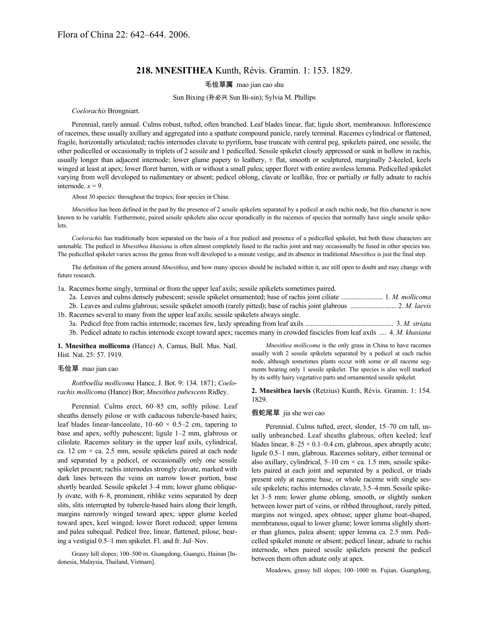# **218. MNESITHEA** Kunth, Révis. Gramin. 1: 153. 1829.

## 毛俭草属 mao jian cao shu

Sun Bixing (孙必兴 Sun Bi-sin); Sylvia M. Phillips

#### *Coelorachis* Brongniart.

Perennial, rarely annual. Culms robust, tufted, often branched. Leaf blades linear, flat; ligule short, membranous. Inflorescence of racemes, these usually axillary and aggregated into a spathate compound panicle, rarely terminal. Racemes cylindrical or flattened, fragile, horizontally articulated; rachis internodes clavate to pyriform, base truncate with central peg, spikelets paired, one sessile, the other pedicelled or occasionally in triplets of 2 sessile and 1 pedicelled. Sessile spikelet closely appressed or sunk in hollow in rachis, usually longer than adjacent internode; lower glume papery to leathery, ± flat, smooth or sculptured, marginally 2-keeled, keels winged at least at apex; lower floret barren, with or without a small palea; upper floret with entire awnless lemma. Pedicelled spikelet varying from well developed to rudimentary or absent; pedicel oblong, clavate or leaflike, free or partially or fully adnate to rachis internode.  $x = 9$ .

About 30 species: throughout the tropics; four species in China.

*Mnesithea* has been defined in the past by the presence of 2 sessile spikelets separated by a pedicel at each rachis node, but this character is now known to be variable. Furthermore, paired sessile spikelets also occur sporadically in the racemes of species that normally have single sessile spikelets.

*Coelorachis* has traditionally been separated on the basis of a free pedicel and presence of a pedicelled spikelet, but both these characters are untenable. The pedicel in *Mnesithea khasiana* is often almost completely fused to the rachis joint and may occasionally be fused in other species too. The pedicelled spikelet varies across the genus from well developed to a minute vestige, and its absence in traditional *Mnesithea* is just the final step.

The definition of the genera around *Mnesithea*, and how many species should be included within it, are still open to doubt and may change with future research.

| 1a. Racemes borne singly, terminal or from the upper leaf axils; sessile spikelets sometimes paired.                         |
|------------------------------------------------------------------------------------------------------------------------------|
|                                                                                                                              |
|                                                                                                                              |
| 1b. Racemes several to many from the upper leaf axils; sessile spikelets always single.                                      |
|                                                                                                                              |
| 3b. Pedicel adnate to rachis internode except toward apex; racemes many in crowded fascicles from leaf axils  4. M. khasiana |

**1. Mnesithea mollicoma** (Hance) A. Camus, Bull. Mus. Natl. Hist. Nat. 25: 57. 1919.

#### 毛俭草 mao jian cao

*Rottboellia mollicoma* Hance, J. Bot. 9: 134. 1871; *Coelorachis mollicoma* (Hance) Bor; *Mnesithea pubescens* Ridley.

Perennial. Culms erect, 60–85 cm, softly pilose. Leaf sheaths densely pilose or with caducous tubercle-based hairs; leaf blades linear-lanceolate,  $10-60 \times 0.5-2$  cm, tapering to base and apex, softly pubescent; ligule 1–2 mm, glabrous or ciliolate. Racemes solitary in the upper leaf axils, cylindrical, ca. 12 cm  $\times$  ca. 2.5 mm, sessile spikelets paired at each node and separated by a pedicel, or occasionally only one sessile spikelet present; rachis internodes strongly clavate, marked with dark lines between the veins on narrow lower portion, base shortly bearded. Sessile spikelet 3–4 mm; lower glume obliquely ovate, with 6–8, prominent, riblike veins separated by deep slits, slits interrupted by tubercle-based hairs along their length, margins narrowly winged toward apex; upper glume keeled toward apex, keel winged; lower floret reduced; upper lemma and palea subequal. Pedicel free, linear, flattened, pilose, bearing a vestigial 0.5–1 mm spikelet. Fl. and fr. Jul–Nov.

Grassy hill slopes; 100–500 m. Guangdong, Guangxi, Hainan [Indonesia, Malaysia, Thailand, Vietnam].

*Mnesithea mollicoma* is the only grass in China to have racemes usually with 2 sessile spikelets separated by a pedicel at each rachis node, although sometimes plants occur with some or all raceme segments bearing only 1 sessile spikelet. The species is also well marked by its softly hairy vegetative parts and ornamented sessile spikelet.

**2. Mnesithea laevis** (Retzius) Kunth, Révis. Gramin. 1: 154. 1829.

#### 假蛇尾草 jia she wei cao

Perennial. Culms tufted, erect, slender, 15–70 cm tall, usually unbranched. Leaf sheaths glabrous, often keeled; leaf blades linear,  $8-25 \times 0.1-0.4$  cm, glabrous, apex abruptly acute; ligule 0.5–1 mm, glabrous. Racemes solitary, either terminal or also axillary, cylindrical,  $5-10$  cm  $\times$  ca. 1.5 mm, sessile spikelets paired at each joint and separated by a pedicel, or triads present only at raceme base, or whole raceme with single sessile spikelets; rachis internodes clavate, 3.5–4 mm. Sessile spikelet 3–5 mm; lower glume oblong, smooth, or slightly sunken between lower part of veins, or ribbed throughout, rarely pitted, margins not winged, apex obtuse; upper glume boat-shaped, membranous, equal to lower glume; lower lemma slightly shorter than glumes, palea absent; upper lemma ca. 2.5 mm. Pedicelled spikelet minute or absent; pedicel linear, adnate to rachis internode, when paired sessile spikelets present the pedicel between them often adnate only at apex.

Meadows, grassy hill slopes; 100–1000 m. Fujian, Guangdong,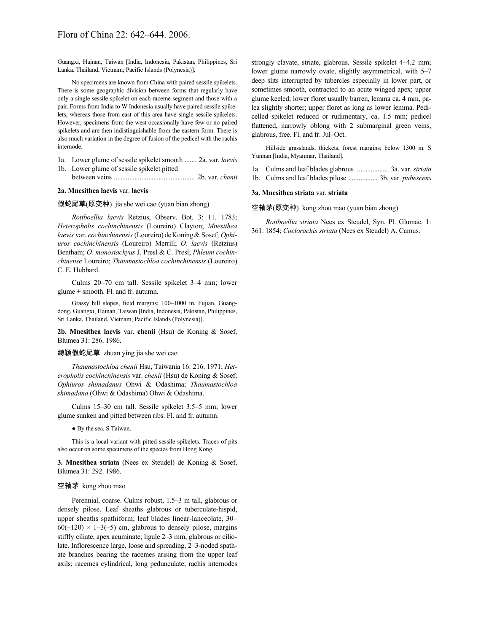Guangxi, Hainan, Taiwan [India, Indonesia, Pakistan, Philippines, Sri Lanka, Thailand, Vietnam; Pacific Islands (Polynesia)].

No specimens are known from China with paired sessile spikelets. There is some geographic division between forms that regularly have only a single sessile spikelet on each raceme segment and those with a pair. Forms from India to W Indonesia usually have paired sessile spikelets, whereas those from east of this area have single sessile spikelets. However, specimens from the west occasionally have few or no paired spikelets and are then indistinguishable from the eastern form. There is also much variation in the degree of fusion of the pedicel with the rachis internode.

- 1a. Lower glume of sessile spikelet smooth ....... 2a. var. *laevis* 1b. Lower glume of sessile spikelet pitted
- between veins ............................................... 2b. var. *chenii*

## **2a. Mnesithea laevis** var. **laevis**

#### 假蛇尾草(原变种) jia she wei cao (yuan bian zhong)

*Rottboellia laevis* Retzius, Observ. Bot. 3: 11. 1783; *Heteropholis cochinchinensis* (Loureiro) Clayton; *Mnesithea laevis* var. *cochinchinensis* (Loureiro) deKoning& Sosef; *Ophiuros cochinchinensis* (Loureiro) Merrill; *O. laevis* (Retzius) Bentham; *O. monostachyus* J. Presl & C. Presl; *Phleum cochinchinense* Loureiro; *Thaumastochloa cochinchinensis* (Loureiro) C. E. Hubbard.

Culms 20–70 cm tall. Sessile spikelet 3–4 mm; lower glume  $\pm$  smooth. Fl. and fr. autumn.

Grassy hill slopes, field margins; 100–1000 m. Fujian, Guangdong, Guangxi, Hainan, Taiwan [India, Indonesia, Pakistan, Philippines, Sri Lanka, Thailand, Vietnam; Pacific Islands (Polynesia)].

**2b. Mnesithea laevis** var. **chenii** (Hsu) de Koning & Sosef, Blumea 31: 286. 1986.

#### 縳颖假蛇尾草 zhuan ying jia she wei cao

*Thaumastochloa chenii* Hsu, Taiwania 16: 216. 1971; *Heteropholis cochinchinensis* var. *chenii* (Hsu) de Koning & Sosef; *Ophiuros shimadanus* Ohwi & Odashima; *Thaumastochloa shimadana* (Ohwi & Odashima) Ohwi & Odashima.

Culms 15–30 cm tall. Sessile spikelet 3.5–5 mm; lower glume sunken and pitted between ribs. Fl. and fr. autumn.

● By the sea. S Taiwan.

This is a local variant with pitted sessile spikelets. Traces of pits also occur on some specimens of the species from Hong Kong.

**3. Mnesithea striata** (Nees ex Steudel) de Koning & Sosef, Blumea 31: 292. 1986.

#### 空轴茅 kong zhou mao

Perennial, coarse. Culms robust, 1.5–3 m tall, glabrous or densely pilose. Leaf sheaths glabrous or tuberculate-hispid, upper sheaths spathiform; leaf blades linear-lanceolate, 30–  $60(-120) \times 1-3(-5)$  cm, glabrous to densely pilose, margins stiffly ciliate, apex acuminate; ligule 2–3 mm, glabrous or ciliolate. Inflorescence large, loose and spreading, 2–3-noded spathate branches bearing the racemes arising from the upper leaf axils; racemes cylindrical, long pedunculate; rachis internodes strongly clavate, striate, glabrous. Sessile spikelet 4–4.2 mm; lower glume narrowly ovate, slightly asymmetrical, with 5–7 deep slits interrupted by tubercles especially in lower part, or sometimes smooth, contracted to an acute winged apex; upper glume keeled; lower floret usually barren, lemma ca. 4 mm, palea slightly shorter; upper floret as long as lower lemma. Pedicelled spikelet reduced or rudimentary, ca. 1.5 mm; pedicel flattened, narrowly oblong with 2 submarginal green veins, glabrous, free. Fl. and fr. Jul–Oct.

Hillside grasslands, thickets, forest margins; below 1300 m. S Yunnan [India, Myanmar, Thailand].

- 1a. Culms and leaf blades glabrous .................. 3a. var. *striata*
- 1b. Culms and leaf blades pilose ................. 3b. var. *pubescens*

#### **3a. Mnesithea striata** var. **striata**

#### 空轴茅(原变种) kong zhou mao (yuan bian zhong)

*Rottboellia striata* Nees ex Steudel, Syn. Pl. Glumac. 1: 361. 1854; *Coelorachis striata* (Nees ex Steudel) A. Camus.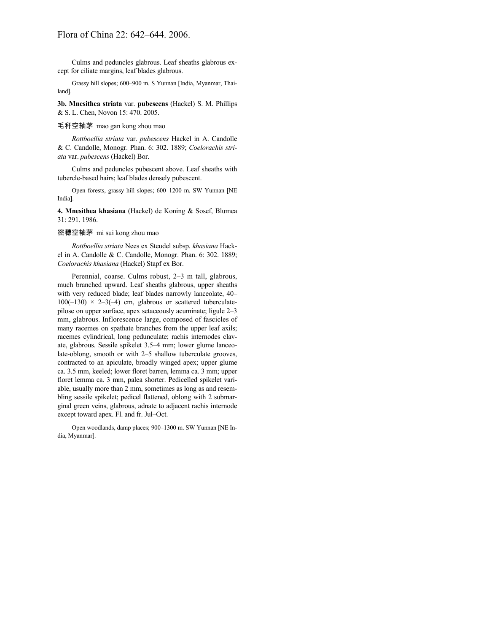Culms and peduncles glabrous. Leaf sheaths glabrous except for ciliate margins, leaf blades glabrous.

Grassy hill slopes; 600–900 m. S Yunnan [India, Myanmar, Thailand].

**3b. Mnesithea striata** var. **pubescens** (Hackel) S. M. Phillips & S. L. Chen, Novon 15: 470. 2005.

## 毛秆空轴茅 mao gan kong zhou mao

*Rottboellia striata* var. *pubescens* Hackel in A. Candolle & C. Candolle, Monogr. Phan. 6: 302. 1889; *Coelorachis striata* var. *pubescens* (Hackel) Bor.

Culms and peduncles pubescent above. Leaf sheaths with tubercle-based hairs; leaf blades densely pubescent.

Open forests, grassy hill slopes; 600–1200 m. SW Yunnan [NE India].

**4. Mnesithea khasiana** (Hackel) de Koning & Sosef, Blumea 31: 291. 1986.

## 密穗空轴茅 mi sui kong zhou mao

*Rottboellia striata* Nees ex Steudel subsp. *khasiana* Hackel in A. Candolle & C. Candolle, Monogr. Phan. 6: 302. 1889; *Coelorachis khasiana* (Hackel) Stapf ex Bor.

Perennial, coarse. Culms robust, 2–3 m tall, glabrous, much branched upward. Leaf sheaths glabrous, upper sheaths with very reduced blade; leaf blades narrowly lanceolate, 40–  $100(-130) \times 2-3(-4)$  cm, glabrous or scattered tuberculatepilose on upper surface, apex setaceously acuminate; ligule 2–3 mm, glabrous. Inflorescence large, composed of fascicles of many racemes on spathate branches from the upper leaf axils; racemes cylindrical, long pedunculate; rachis internodes clavate, glabrous. Sessile spikelet 3.5–4 mm; lower glume lanceolate-oblong, smooth or with 2–5 shallow tuberculate grooves, contracted to an apiculate, broadly winged apex; upper glume ca. 3.5 mm, keeled; lower floret barren, lemma ca. 3 mm; upper floret lemma ca. 3 mm, palea shorter. Pedicelled spikelet variable, usually more than 2 mm, sometimes as long as and resembling sessile spikelet; pedicel flattened, oblong with 2 submarginal green veins, glabrous, adnate to adjacent rachis internode except toward apex. Fl. and fr. Jul–Oct.

Open woodlands, damp places; 900–1300 m. SW Yunnan [NE India, Myanmar].